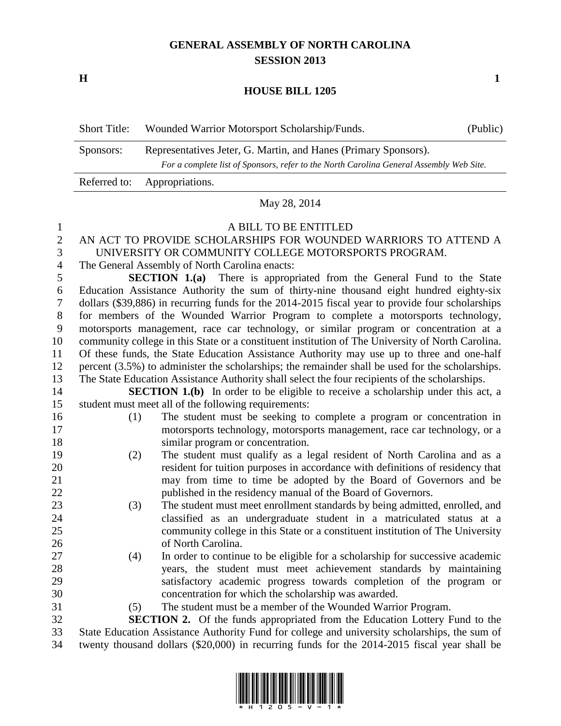# **GENERAL ASSEMBLY OF NORTH CAROLINA SESSION 2013**

**H 1**

### **HOUSE BILL 1205**

| <b>Short Title:</b> | Wounded Warrior Motorsport Scholarship/Funds.                                                                                                              | (Public) |
|---------------------|------------------------------------------------------------------------------------------------------------------------------------------------------------|----------|
| Sponsors:           | Representatives Jeter, G. Martin, and Hanes (Primary Sponsors).<br>For a complete list of Sponsors, refer to the North Carolina General Assembly Web Site. |          |
| Referred to:        | Appropriations.                                                                                                                                            |          |

#### May 28, 2014

#### A BILL TO BE ENTITLED

## AN ACT TO PROVIDE SCHOLARSHIPS FOR WOUNDED WARRIORS TO ATTEND A UNIVERSITY OR COMMUNITY COLLEGE MOTORSPORTS PROGRAM.

The General Assembly of North Carolina enacts:

 **SECTION 1.(a)** There is appropriated from the General Fund to the State Education Assistance Authority the sum of thirty-nine thousand eight hundred eighty-six dollars (\$39,886) in recurring funds for the 2014-2015 fiscal year to provide four scholarships for members of the Wounded Warrior Program to complete a motorsports technology, motorsports management, race car technology, or similar program or concentration at a community college in this State or a constituent institution of The University of North Carolina. Of these funds, the State Education Assistance Authority may use up to three and one-half percent (3.5%) to administer the scholarships; the remainder shall be used for the scholarships.

The State Education Assistance Authority shall select the four recipients of the scholarships.

**SECTION 1.(b)** In order to be eligible to receive a scholarship under this act, a student must meet all of the following requirements:

- 
- (1) The student must be seeking to complete a program or concentration in motorsports technology, motorsports management, race car technology, or a similar program or concentration.
- (2) The student must qualify as a legal resident of North Carolina and as a resident for tuition purposes in accordance with definitions of residency that may from time to time be adopted by the Board of Governors and be published in the residency manual of the Board of Governors.
- (3) The student must meet enrollment standards by being admitted, enrolled, and classified as an undergraduate student in a matriculated status at a community college in this State or a constituent institution of The University of North Carolina.
- (4) In order to continue to be eligible for a scholarship for successive academic years, the student must meet achievement standards by maintaining satisfactory academic progress towards completion of the program or concentration for which the scholarship was awarded.
- (5) The student must be a member of the Wounded Warrior Program.

 **SECTION 2.** Of the funds appropriated from the Education Lottery Fund to the State Education Assistance Authority Fund for college and university scholarships, the sum of twenty thousand dollars (\$20,000) in recurring funds for the 2014-2015 fiscal year shall be